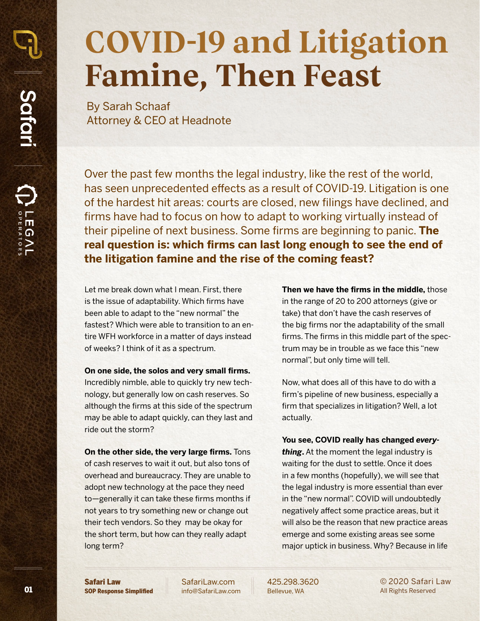## **COVID-19 and Litigation Famine, Then Feast**

By Sarah Schaaf Attorney & CEO at Headnote

Over the past few months the legal industry, like the rest of the world, has seen unprecedented effects as a result of COVID-19. Litigation is one of the hardest hit areas: courts are closed, new filings have declined, and firms have had to focus on how to adapt to working virtually instead of their pipeline of next business. Some firms are beginning to panic. **The real question is: which firms can last long enough to see the end of the litigation famine and the rise of the coming feast?**

Let me break down what I mean. First, there is the issue of adaptability. Which firms have been able to adapt to the "new normal" the fastest? Which were able to transition to an entire WFH workforce in a matter of days instead of weeks? I think of it as a spectrum.

#### **On one side, the solos and very small firms.**

Incredibly nimble, able to quickly try new technology, but generally low on cash reserves. So although the firms at this side of the spectrum may be able to adapt quickly, can they last and ride out the storm?

**On the other side, the very large firms.** Tons of cash reserves to wait it out, but also tons of overhead and bureaucracy. They are unable to adopt new technology at the pace they need to—generally it can take these firms months if not years to try something new or change out their tech vendors. So they may be okay for the short term, but how can they really adapt long term?

**Then we have the firms in the middle,** those in the range of 20 to 200 attorneys (give or take) that don't have the cash reserves of the big firms nor the adaptability of the small firms. The firms in this middle part of the spectrum may be in trouble as we face this "new normal", but only time will tell.

Now, what does all of this have to do with a firm's pipeline of new business, especially a firm that specializes in litigation? Well, a lot actually.

**You see, COVID really has changed** *everything***.** At the moment the legal industry is waiting for the dust to settle. Once it does in a few months (hopefully), we will see that the legal industry is more essential than ever in the "new normal". COVID will undoubtedly negatively affect some practice areas, but it will also be the reason that new practice areas emerge and some existing areas see some major uptick in business. Why? Because in life

Safari Law SOP Response Simplified

01

Safari

 $\bigoplus$ 

LEGAIL

[SafariLaw.com](http://safarilaw.com) [info@SafariLaw.com](mailto:info%40safarilaw.com?subject=) 425.298.3620 Bellevue, WA

© 2020 Safari Law All Rights Reserved